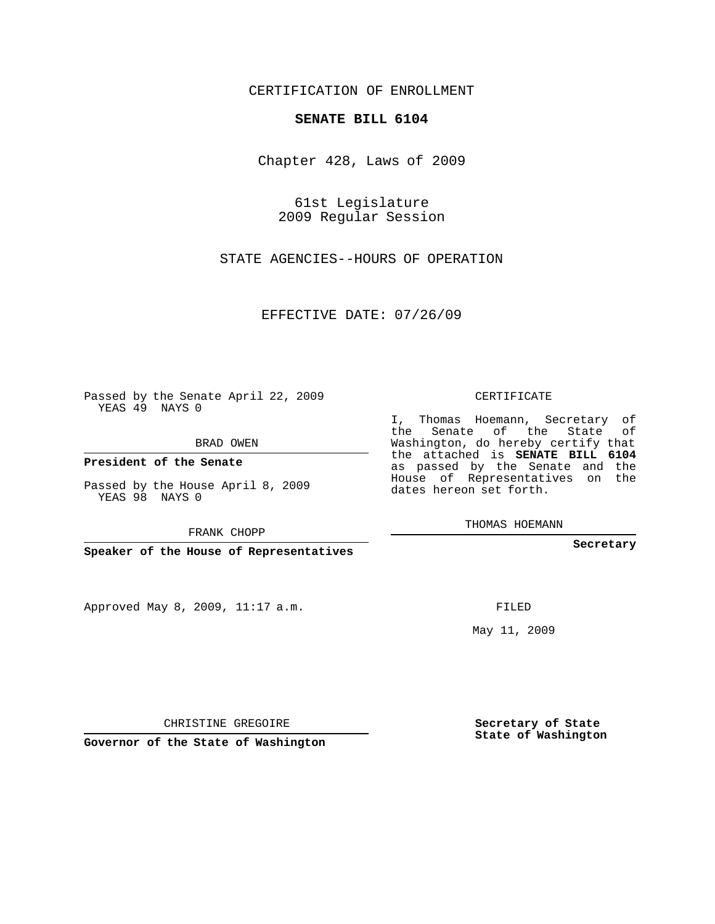## CERTIFICATION OF ENROLLMENT

## **SENATE BILL 6104**

Chapter 428, Laws of 2009

61st Legislature 2009 Regular Session

STATE AGENCIES--HOURS OF OPERATION

EFFECTIVE DATE: 07/26/09

Passed by the Senate April 22, 2009 YEAS 49 NAYS 0

BRAD OWEN

**President of the Senate**

Passed by the House April 8, 2009 YEAS 98 NAYS 0

FRANK CHOPP

**Speaker of the House of Representatives**

Approved May 8, 2009, 11:17 a.m.

CERTIFICATE

I, Thomas Hoemann, Secretary of the Senate of the State of Washington, do hereby certify that the attached is **SENATE BILL 6104** as passed by the Senate and the House of Representatives on the dates hereon set forth.

THOMAS HOEMANN

**Secretary**

FILED

May 11, 2009

**Secretary of State State of Washington**

CHRISTINE GREGOIRE

**Governor of the State of Washington**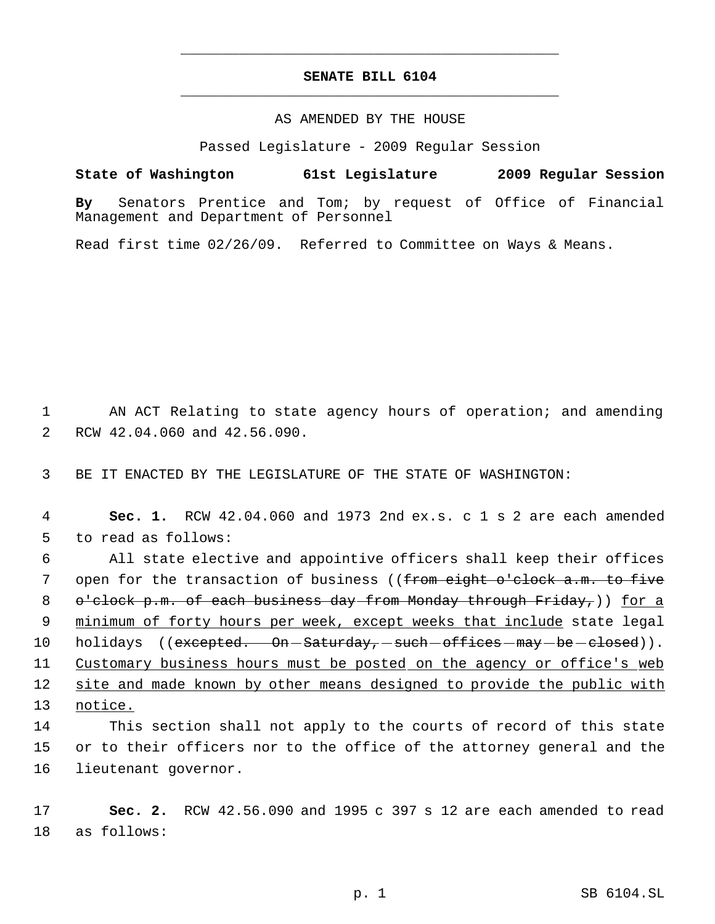## **SENATE BILL 6104** \_\_\_\_\_\_\_\_\_\_\_\_\_\_\_\_\_\_\_\_\_\_\_\_\_\_\_\_\_\_\_\_\_\_\_\_\_\_\_\_\_\_\_\_\_

\_\_\_\_\_\_\_\_\_\_\_\_\_\_\_\_\_\_\_\_\_\_\_\_\_\_\_\_\_\_\_\_\_\_\_\_\_\_\_\_\_\_\_\_\_

## AS AMENDED BY THE HOUSE

Passed Legislature - 2009 Regular Session

**State of Washington 61st Legislature 2009 Regular Session**

**By** Senators Prentice and Tom; by request of Office of Financial Management and Department of Personnel

Read first time 02/26/09. Referred to Committee on Ways & Means.

 1 AN ACT Relating to state agency hours of operation; and amending 2 RCW 42.04.060 and 42.56.090.

3 BE IT ENACTED BY THE LEGISLATURE OF THE STATE OF WASHINGTON:

 4 **Sec. 1.** RCW 42.04.060 and 1973 2nd ex.s. c 1 s 2 are each amended 5 to read as follows:

 6 All state elective and appointive officers shall keep their offices 7 open for the transaction of business ((<del>from eight o'clock a.m. to five</del> 8 o'clock p.m. of each business day from Monday through Friday,)) for a 9 minimum of forty hours per week, except weeks that include state legal 10 holidays ((excepted. On-Saturday, such offices - may - be - closed)). 11 Customary business hours must be posted on the agency or office's web 12 site and made known by other means designed to provide the public with 13 notice.

14 This section shall not apply to the courts of record of this state 15 or to their officers nor to the office of the attorney general and the 16 lieutenant governor.

17 **Sec. 2.** RCW 42.56.090 and 1995 c 397 s 12 are each amended to read 18 as follows: